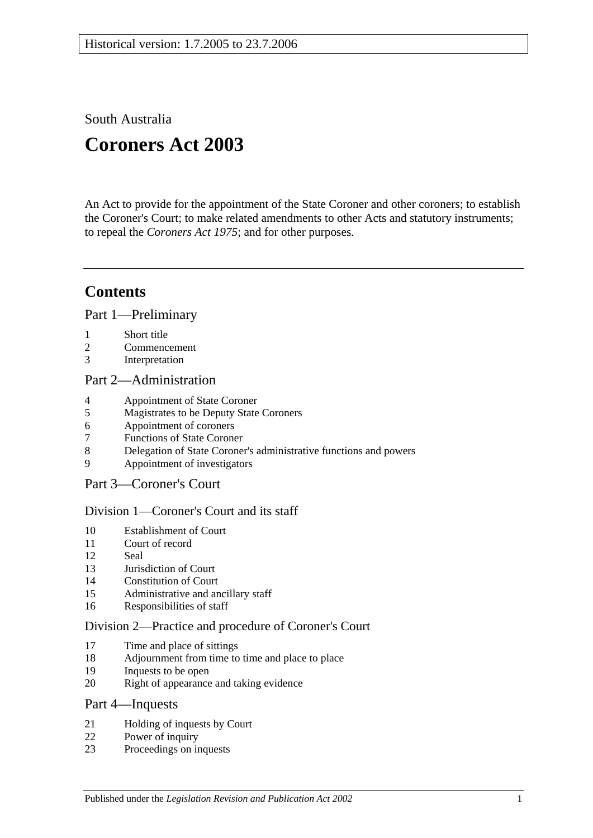South Australia

# **Coroners Act 2003**

An Act to provide for the appointment of the State Coroner and other coroners; to establish the Coroner's Court; to make related amendments to other Acts and statutory instruments; to repeal the *[Coroners Act](http://www.legislation.sa.gov.au/index.aspx?action=legref&type=act&legtitle=Coroners%20Act%201975) 1975*; and for other purposes.

## **Contents**

[Part 1—Preliminary](#page-2-0)

- 1 [Short title](#page-2-1)
- 2 [Commencement](#page-3-0)
- 3 [Interpretation](#page-3-1)

#### [Part 2—Administration](#page-5-0)

- 4 [Appointment of State Coroner](#page-5-1)
- 5 [Magistrates to be Deputy State Coroners](#page-5-2)
- 6 [Appointment of coroners](#page-5-3)
- 7 [Functions of State Coroner](#page-5-4)
- 8 [Delegation of State Coroner's administrative functions and powers](#page-6-0)
- 9 [Appointment of investigators](#page-6-1)

## [Part 3—Coroner's Court](#page-6-2)

#### [Division 1—Coroner's Court and its staff](#page-6-3)

- 10 [Establishment of Court](#page-6-4)
- 11 [Court of record](#page-6-5)
- 12 [Seal](#page-6-6)
- 13 [Jurisdiction of Court](#page-7-0)
- 14 [Constitution of Court](#page-7-1)
- 15 [Administrative and ancillary staff](#page-7-2)
- 16 [Responsibilities of staff](#page-7-3)

#### [Division 2—Practice and procedure of Coroner's](#page-7-4) Court

- 17 [Time and place of sittings](#page-7-5)
- 18 [Adjournment from time to time and place to place](#page-7-6)
- 19 [Inquests to be open](#page-7-7)
- 20 [Right of appearance and taking evidence](#page-8-0)

#### [Part 4—Inquests](#page-8-1)

- 21 [Holding of inquests by Court](#page-8-2)<br>22 Power of inquiry
- [Power of inquiry](#page-9-0)
- 23 [Proceedings on inquests](#page-10-0)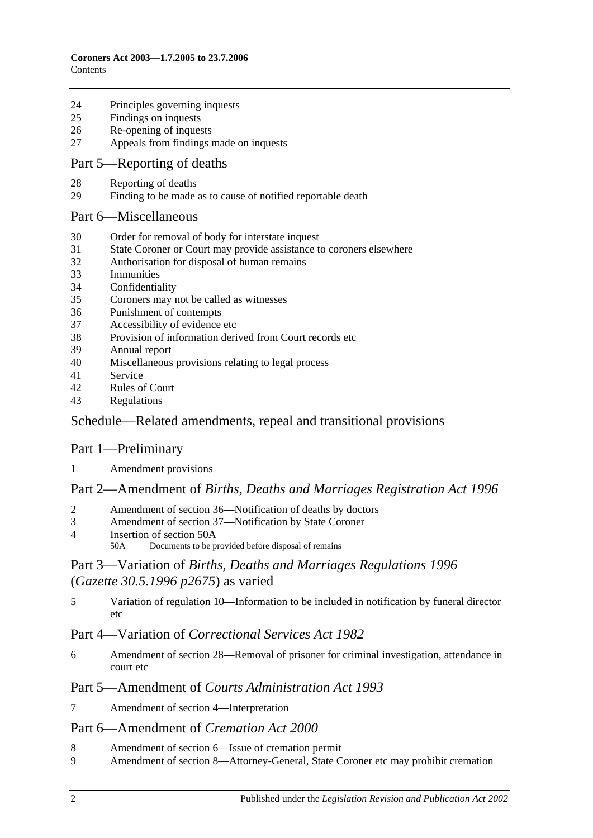- [Principles governing inquests](#page-11-0)
- [Findings on inquests](#page-11-1)
- [Re-opening of inquests](#page-12-0)
- [Appeals from findings made on inquests](#page-12-1)

## Part [5—Reporting of deaths](#page-13-0)

- [Reporting of deaths](#page-13-1)
- [Finding to be made as to cause of notified reportable death](#page-13-2)

#### [Part 6—Miscellaneous](#page-13-3)

- [Order for removal of body for interstate inquest](#page-13-4)
- [State Coroner or Court may provide assistance to coroners elsewhere](#page-14-0)
- [Authorisation for disposal of human remains](#page-14-1)
- [Immunities](#page-14-2)
- [Confidentiality](#page-14-3)
- [Coroners may not be called as witnesses](#page-15-0)
- [Punishment of contempts](#page-15-1)
- [Accessibility of evidence etc](#page-15-2)
- [Provision of information derived from Court records etc](#page-16-0)
- [Annual report](#page-16-1)
- [Miscellaneous provisions relating to legal process](#page-16-2)
- [Service](#page-16-3)
- [Rules of Court](#page-16-4)
- [Regulations](#page-17-0)

## [Schedule—Related amendments, repeal and transitional provisions](#page-17-1)

## Part 1—Preliminary

[Amendment provisions](#page-17-2)

## Part 2—Amendment of *Births, Deaths and Marriages Registration Act 1996*

- [Amendment of section 36—Notification of deaths by doctors](#page-17-3)
- [Amendment of section 37—Notification by State Coroner](#page-17-4)
- [Insertion of section 50A](#page-18-0)<br>50A Documents to be n
	- Documents to be provided before disposal of remains

## Part 3—Variation of *Births, Deaths and Marriages Regulations 1996* (*Gazette 30.5.1996 p2675*) as varied

 [Variation of regulation 10—Information to be included in notification by funeral director](#page-18-1)  [etc](#page-18-1)

## Part 4—Variation of *Correctional Services Act 1982*

 [Amendment of section 28—Removal of prisoner for criminal investigation, attendance in](#page-18-2)  [court etc](#page-18-2)

## Part 5—Amendment of *Courts Administration Act 1993*

[Amendment of section 4—Interpretation](#page-19-0)

## Part 6—Amendment of *Cremation Act 2000*

- [Amendment of section 6—Issue of cremation permit](#page-19-1)<br>9 Amendment of section 8—Attorney-General State C
- [Amendment of section 8—Attorney-General, State Coroner etc may prohibit cremation](#page-19-2)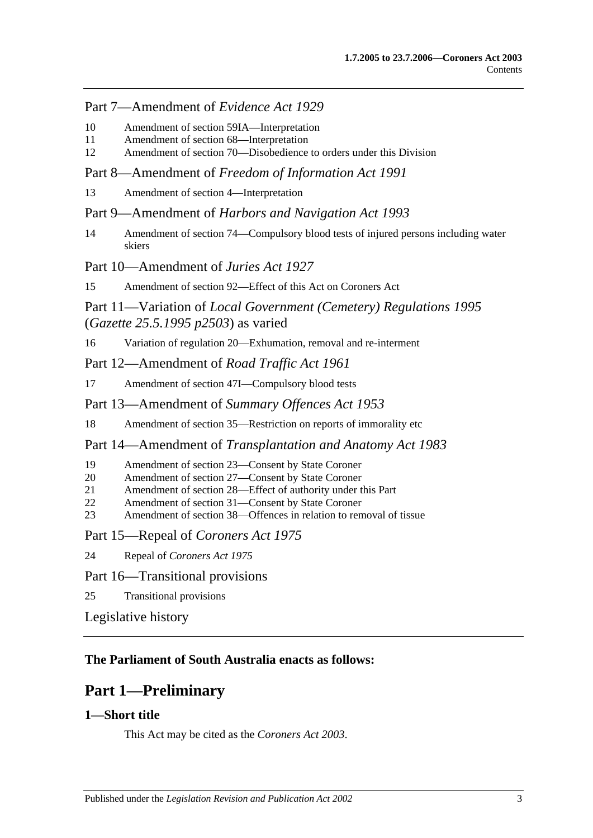## Part 7—Amendment of *Evidence Act 1929*

- 10 [Amendment of section 59IA—Interpretation](#page-19-3)
- 11 [Amendment of section 68—Interpretation](#page-19-4)
- 12 [Amendment of section 70—Disobedience to orders under this Division](#page-19-5)

Part 8—Amendment of *Freedom of Information Act 1991*

13 [Amendment of section 4—Interpretation](#page-20-0)

Part 9—Amendment of *Harbors and Navigation Act 1993*

14 [Amendment of section 74—Compulsory blood tests of injured persons including water](#page-20-1)  [skiers](#page-20-1)

Part 10—Amendment of *Juries Act 1927*

15 [Amendment of section 92—Effect of this Act on Coroners Act](#page-20-2)

## Part 11—Variation of *Local Government (Cemetery) Regulations 1995* (*Gazette 25.5.1995 p2503*) as varied

16 [Variation of regulation 20—Exhumation, removal and re-interment](#page-20-3)

Part 12—Amendment of *Road Traffic Act 1961*

- 17 [Amendment of section 47I—Compulsory blood tests](#page-20-4)
- Part 13—Amendment of *Summary Offences Act 1953*
- 18 [Amendment of section 35—Restriction on reports of immorality etc](#page-21-0)

Part 14—Amendment of *Transplantation and Anatomy Act 1983*

- 19 [Amendment of section 23—Consent by State Coroner](#page-21-1)
- 20 [Amendment of section 27—Consent by State Coroner](#page-21-2)
- 21 [Amendment of section 28—Effect of authority under this Part](#page-22-0)
- 22 [Amendment of section 31—Consent by State Coroner](#page-22-1)
- 23 [Amendment of section 38—Offences in relation to removal of tissue](#page-22-2)

Part 15—Repeal of *Coroners Act 1975*

24 Repeal of *[Coroners Act](#page-22-3) 1975*

## Part 16—Transitional provisions

25 [Transitional provisions](#page-23-0)

[Legislative history](#page-24-0)

## <span id="page-2-0"></span>**The Parliament of South Australia enacts as follows:**

## **Part 1—Preliminary**

## <span id="page-2-1"></span>**1—Short title**

This Act may be cited as the *Coroners Act 2003*.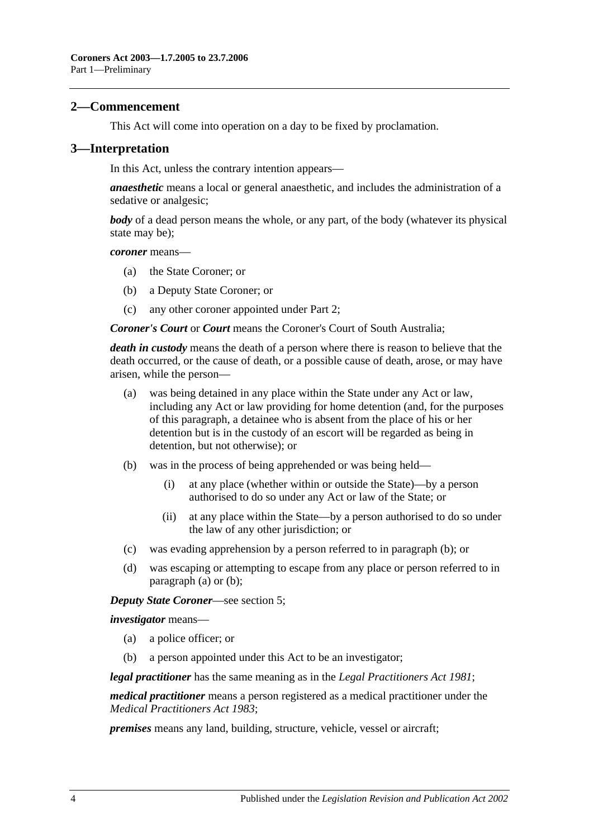#### <span id="page-3-0"></span>**2—Commencement**

This Act will come into operation on a day to be fixed by proclamation.

#### <span id="page-3-1"></span>**3—Interpretation**

In this Act, unless the contrary intention appears—

*anaesthetic* means a local or general anaesthetic, and includes the administration of a sedative or analgesic;

*body* of a dead person means the whole, or any part, of the body (whatever its physical state may be);

*coroner* means—

- (a) the State Coroner; or
- (b) a Deputy State Coroner; or
- (c) any other coroner appointed under [Part 2;](#page-5-0)

*Coroner's Court* or *Court* means the Coroner's Court of South Australia;

*death in custody* means the death of a person where there is reason to believe that the death occurred, or the cause of death, or a possible cause of death, arose, or may have arisen, while the person—

- <span id="page-3-3"></span>(a) was being detained in any place within the State under any Act or law, including any Act or law providing for home detention (and, for the purposes of this paragraph, a detainee who is absent from the place of his or her detention but is in the custody of an escort will be regarded as being in detention, but not otherwise); or
- <span id="page-3-2"></span>(b) was in the process of being apprehended or was being held—
	- (i) at any place (whether within or outside the State)—by a person authorised to do so under any Act or law of the State; or
	- (ii) at any place within the State—by a person authorised to do so under the law of any other jurisdiction; or
- (c) was evading apprehension by a person referred to in [paragraph](#page-3-2) (b); or
- (d) was escaping or attempting to escape from any place or person referred to in [paragraph](#page-3-3) (a) or [\(b\);](#page-3-2)

*Deputy State Coroner*—see [section](#page-5-2) 5;

*investigator* means—

- (a) a police officer; or
- (b) a person appointed under this Act to be an investigator;

*legal practitioner* has the same meaning as in the *[Legal Practitioners Act](http://www.legislation.sa.gov.au/index.aspx?action=legref&type=act&legtitle=Legal%20Practitioners%20Act%201981) 1981*;

*medical practitioner* means a person registered as a medical practitioner under the *[Medical Practitioners Act](http://www.legislation.sa.gov.au/index.aspx?action=legref&type=act&legtitle=Medical%20Practitioners%20Act%201983) 1983*;

*premises* means any land, building, structure, vehicle, vessel or aircraft;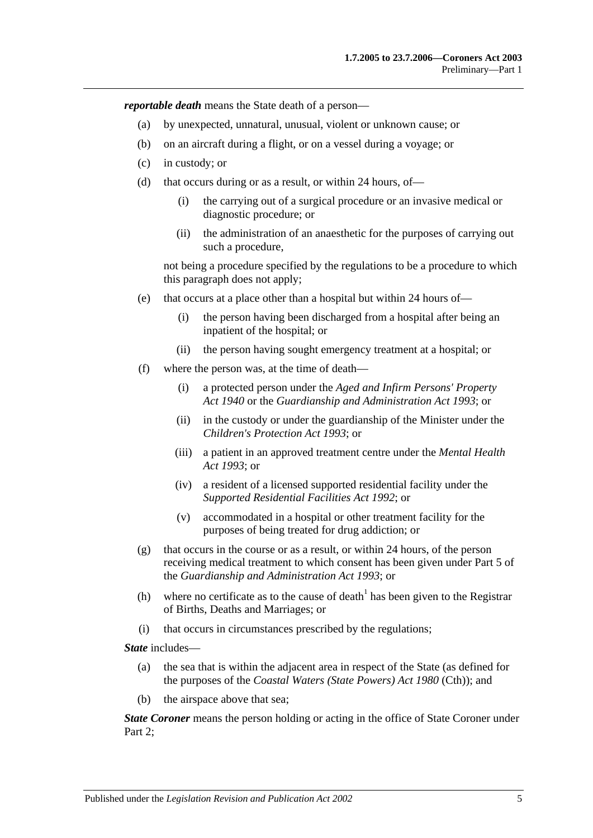*reportable death* means the State death of a person—

- (a) by unexpected, unnatural, unusual, violent or unknown cause; or
- (b) on an aircraft during a flight, or on a vessel during a voyage; or
- (c) in custody; or
- (d) that occurs during or as a result, or within 24 hours, of—
	- (i) the carrying out of a surgical procedure or an invasive medical or diagnostic procedure; or
	- (ii) the administration of an anaesthetic for the purposes of carrying out such a procedure,

not being a procedure specified by the regulations to be a procedure to which this paragraph does not apply;

- (e) that occurs at a place other than a hospital but within 24 hours of—
	- (i) the person having been discharged from a hospital after being an inpatient of the hospital; or
	- (ii) the person having sought emergency treatment at a hospital; or
- (f) where the person was, at the time of death—
	- (i) a protected person under the *[Aged and Infirm Persons' Property](http://www.legislation.sa.gov.au/index.aspx?action=legref&type=act&legtitle=Aged%20and%20Infirm%20Persons%20Property%20Act%201940)  Act [1940](http://www.legislation.sa.gov.au/index.aspx?action=legref&type=act&legtitle=Aged%20and%20Infirm%20Persons%20Property%20Act%201940)* or the *[Guardianship and Administration Act](http://www.legislation.sa.gov.au/index.aspx?action=legref&type=act&legtitle=Guardianship%20and%20Administration%20Act%201993) 1993*; or
	- (ii) in the custody or under the guardianship of the Minister under the *[Children's Protection Act](http://www.legislation.sa.gov.au/index.aspx?action=legref&type=act&legtitle=Childrens%20Protection%20Act%201993) 1993*; or
	- (iii) a patient in an approved treatment centre under the *[Mental Health](http://www.legislation.sa.gov.au/index.aspx?action=legref&type=act&legtitle=Mental%20Health%20Act%201993)  Act [1993](http://www.legislation.sa.gov.au/index.aspx?action=legref&type=act&legtitle=Mental%20Health%20Act%201993)*; or
	- (iv) a resident of a licensed supported residential facility under the *[Supported Residential Facilities Act](http://www.legislation.sa.gov.au/index.aspx?action=legref&type=act&legtitle=Supported%20Residential%20Facilities%20Act%201992) 1992*; or
	- (v) accommodated in a hospital or other treatment facility for the purposes of being treated for drug addiction; or
- (g) that occurs in the course or as a result, or within 24 hours, of the person receiving medical treatment to which consent has been given under Part 5 of the *[Guardianship and Administration Act](http://www.legislation.sa.gov.au/index.aspx?action=legref&type=act&legtitle=Guardianship%20and%20Administration%20Act%201993) 1993*; or
- (h) where no certificate as to the cause of death<sup>1</sup> has been given to the Registrar of Births, Deaths and Marriages; or
- (i) that occurs in circumstances prescribed by the regulations;

*State* includes—

- (a) the sea that is within the adjacent area in respect of the State (as defined for the purposes of the *Coastal Waters (State Powers) Act 1980* (Cth)); and
- (b) the airspace above that sea;

*State Coroner* means the person holding or acting in the office of State Coroner under Part 2: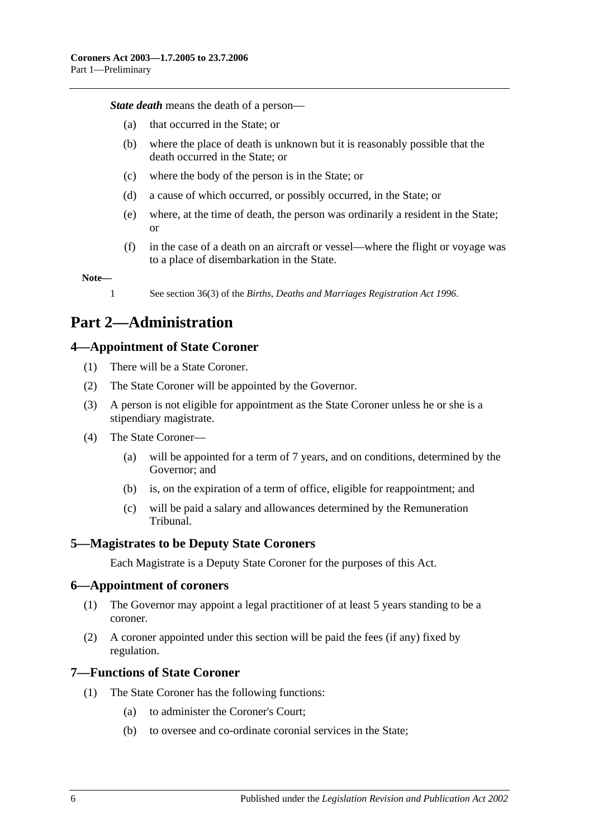*State death* means the death of a person—

- (a) that occurred in the State; or
- (b) where the place of death is unknown but it is reasonably possible that the death occurred in the State; or
- (c) where the body of the person is in the State; or
- (d) a cause of which occurred, or possibly occurred, in the State; or
- (e) where, at the time of death, the person was ordinarily a resident in the State; or
- (f) in the case of a death on an aircraft or vessel—where the flight or voyage was to a place of disembarkation in the State.

#### **Note—**

1 See section 36(3) of the *[Births, Deaths and Marriages Registration Act](http://www.legislation.sa.gov.au/index.aspx?action=legref&type=act&legtitle=Births%20Deaths%20and%20Marriages%20Registration%20Act%201996) 1996*.

## <span id="page-5-0"></span>**Part 2—Administration**

#### <span id="page-5-1"></span>**4—Appointment of State Coroner**

- (1) There will be a State Coroner.
- (2) The State Coroner will be appointed by the Governor.
- (3) A person is not eligible for appointment as the State Coroner unless he or she is a stipendiary magistrate.
- (4) The State Coroner—
	- (a) will be appointed for a term of 7 years, and on conditions, determined by the Governor; and
	- (b) is, on the expiration of a term of office, eligible for reappointment; and
	- (c) will be paid a salary and allowances determined by the Remuneration Tribunal.

#### <span id="page-5-2"></span>**5—Magistrates to be Deputy State Coroners**

Each Magistrate is a Deputy State Coroner for the purposes of this Act.

#### <span id="page-5-3"></span>**6—Appointment of coroners**

- (1) The Governor may appoint a legal practitioner of at least 5 years standing to be a coroner.
- (2) A coroner appointed under this section will be paid the fees (if any) fixed by regulation.

#### <span id="page-5-4"></span>**7—Functions of State Coroner**

- (1) The State Coroner has the following functions:
	- (a) to administer the Coroner's Court;
	- (b) to oversee and co-ordinate coronial services in the State;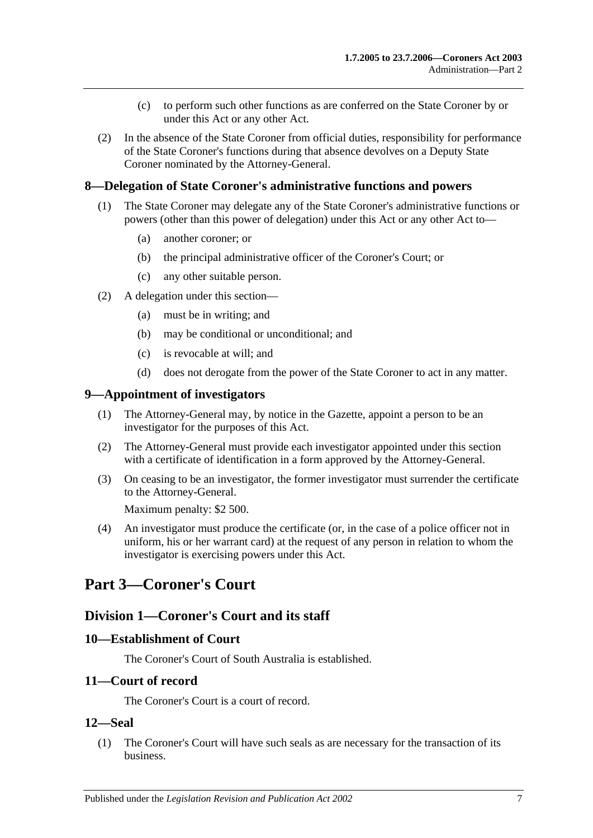- (c) to perform such other functions as are conferred on the State Coroner by or under this Act or any other Act.
- (2) In the absence of the State Coroner from official duties, responsibility for performance of the State Coroner's functions during that absence devolves on a Deputy State Coroner nominated by the Attorney-General.

## <span id="page-6-0"></span>**8—Delegation of State Coroner's administrative functions and powers**

- (1) The State Coroner may delegate any of the State Coroner's administrative functions or powers (other than this power of delegation) under this Act or any other Act to—
	- (a) another coroner; or
	- (b) the principal administrative officer of the Coroner's Court; or
	- (c) any other suitable person.
- (2) A delegation under this section—
	- (a) must be in writing; and
	- (b) may be conditional or unconditional; and
	- (c) is revocable at will; and
	- (d) does not derogate from the power of the State Coroner to act in any matter.

#### <span id="page-6-1"></span>**9—Appointment of investigators**

- (1) The Attorney-General may, by notice in the Gazette, appoint a person to be an investigator for the purposes of this Act.
- (2) The Attorney-General must provide each investigator appointed under this section with a certificate of identification in a form approved by the Attorney-General.
- (3) On ceasing to be an investigator, the former investigator must surrender the certificate to the Attorney-General.

Maximum penalty: \$2 500.

(4) An investigator must produce the certificate (or, in the case of a police officer not in uniform, his or her warrant card) at the request of any person in relation to whom the investigator is exercising powers under this Act.

## <span id="page-6-3"></span><span id="page-6-2"></span>**Part 3—Coroner's Court**

## **Division 1—Coroner's Court and its staff**

#### <span id="page-6-4"></span>**10—Establishment of Court**

The Coroner's Court of South Australia is established.

#### <span id="page-6-5"></span>**11—Court of record**

The Coroner's Court is a court of record.

#### <span id="page-6-6"></span>**12—Seal**

(1) The Coroner's Court will have such seals as are necessary for the transaction of its business.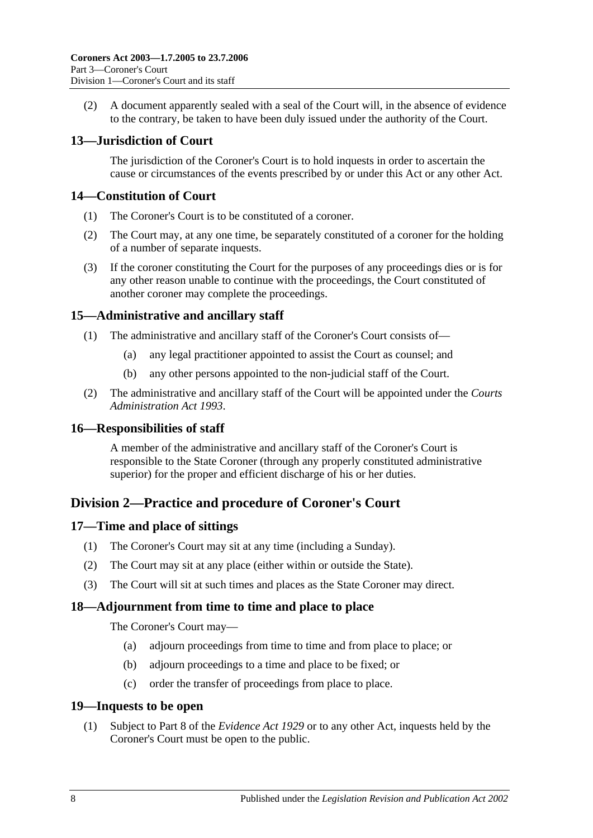(2) A document apparently sealed with a seal of the Court will, in the absence of evidence to the contrary, be taken to have been duly issued under the authority of the Court.

## <span id="page-7-0"></span>**13—Jurisdiction of Court**

The jurisdiction of the Coroner's Court is to hold inquests in order to ascertain the cause or circumstances of the events prescribed by or under this Act or any other Act.

## <span id="page-7-1"></span>**14—Constitution of Court**

- (1) The Coroner's Court is to be constituted of a coroner.
- (2) The Court may, at any one time, be separately constituted of a coroner for the holding of a number of separate inquests.
- (3) If the coroner constituting the Court for the purposes of any proceedings dies or is for any other reason unable to continue with the proceedings, the Court constituted of another coroner may complete the proceedings.

## <span id="page-7-2"></span>**15—Administrative and ancillary staff**

- (1) The administrative and ancillary staff of the Coroner's Court consists of—
	- (a) any legal practitioner appointed to assist the Court as counsel; and
	- (b) any other persons appointed to the non-judicial staff of the Court.
- (2) The administrative and ancillary staff of the Court will be appointed under the *[Courts](http://www.legislation.sa.gov.au/index.aspx?action=legref&type=act&legtitle=Courts%20Administration%20Act%201993)  [Administration Act](http://www.legislation.sa.gov.au/index.aspx?action=legref&type=act&legtitle=Courts%20Administration%20Act%201993) 1993*.

## <span id="page-7-3"></span>**16—Responsibilities of staff**

A member of the administrative and ancillary staff of the Coroner's Court is responsible to the State Coroner (through any properly constituted administrative superior) for the proper and efficient discharge of his or her duties.

## <span id="page-7-4"></span>**Division 2—Practice and procedure of Coroner's Court**

## <span id="page-7-5"></span>**17—Time and place of sittings**

- (1) The Coroner's Court may sit at any time (including a Sunday).
- (2) The Court may sit at any place (either within or outside the State).
- (3) The Court will sit at such times and places as the State Coroner may direct.

## <span id="page-7-6"></span>**18—Adjournment from time to time and place to place**

The Coroner's Court may—

- (a) adjourn proceedings from time to time and from place to place; or
- (b) adjourn proceedings to a time and place to be fixed; or
- (c) order the transfer of proceedings from place to place.

## <span id="page-7-7"></span>**19—Inquests to be open**

(1) Subject to Part 8 of the *[Evidence Act](http://www.legislation.sa.gov.au/index.aspx?action=legref&type=act&legtitle=Evidence%20Act%201929) 1929* or to any other Act, inquests held by the Coroner's Court must be open to the public.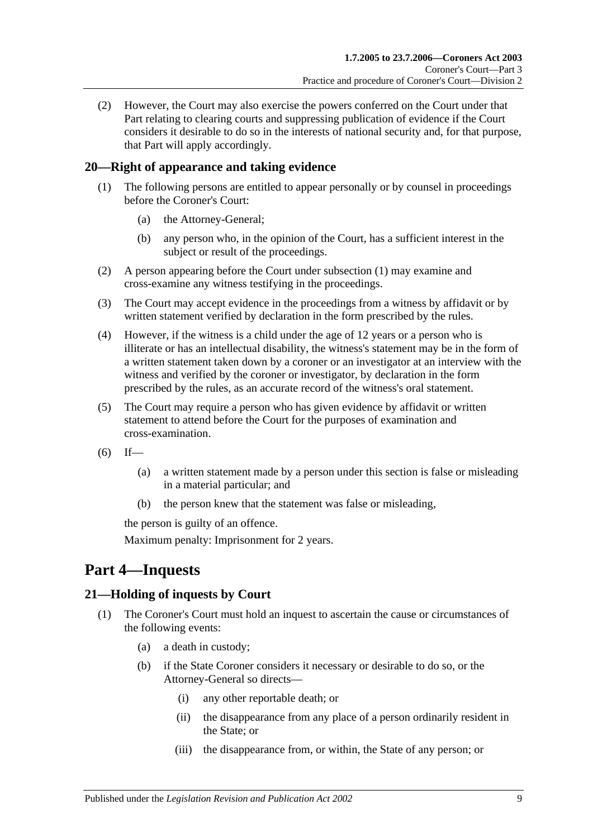(2) However, the Court may also exercise the powers conferred on the Court under that Part relating to clearing courts and suppressing publication of evidence if the Court considers it desirable to do so in the interests of national security and, for that purpose, that Part will apply accordingly.

## <span id="page-8-3"></span><span id="page-8-0"></span>**20—Right of appearance and taking evidence**

- (1) The following persons are entitled to appear personally or by counsel in proceedings before the Coroner's Court:
	- (a) the Attorney-General;
	- (b) any person who, in the opinion of the Court, has a sufficient interest in the subject or result of the proceedings.
- (2) A person appearing before the Court under [subsection](#page-8-3) (1) may examine and cross-examine any witness testifying in the proceedings.
- (3) The Court may accept evidence in the proceedings from a witness by affidavit or by written statement verified by declaration in the form prescribed by the rules.
- (4) However, if the witness is a child under the age of 12 years or a person who is illiterate or has an intellectual disability, the witness's statement may be in the form of a written statement taken down by a coroner or an investigator at an interview with the witness and verified by the coroner or investigator, by declaration in the form prescribed by the rules, as an accurate record of the witness's oral statement.
- (5) The Court may require a person who has given evidence by affidavit or written statement to attend before the Court for the purposes of examination and cross-examination.
- $(6)$  If—
	- (a) a written statement made by a person under this section is false or misleading in a material particular; and
	- (b) the person knew that the statement was false or misleading,

the person is guilty of an offence.

Maximum penalty: Imprisonment for 2 years.

## <span id="page-8-1"></span>**Part 4—Inquests**

## <span id="page-8-2"></span>**21—Holding of inquests by Court**

- (1) The Coroner's Court must hold an inquest to ascertain the cause or circumstances of the following events:
	- (a) a death in custody;
	- (b) if the State Coroner considers it necessary or desirable to do so, or the Attorney-General so directs—
		- (i) any other reportable death; or
		- (ii) the disappearance from any place of a person ordinarily resident in the State; or
		- (iii) the disappearance from, or within, the State of any person; or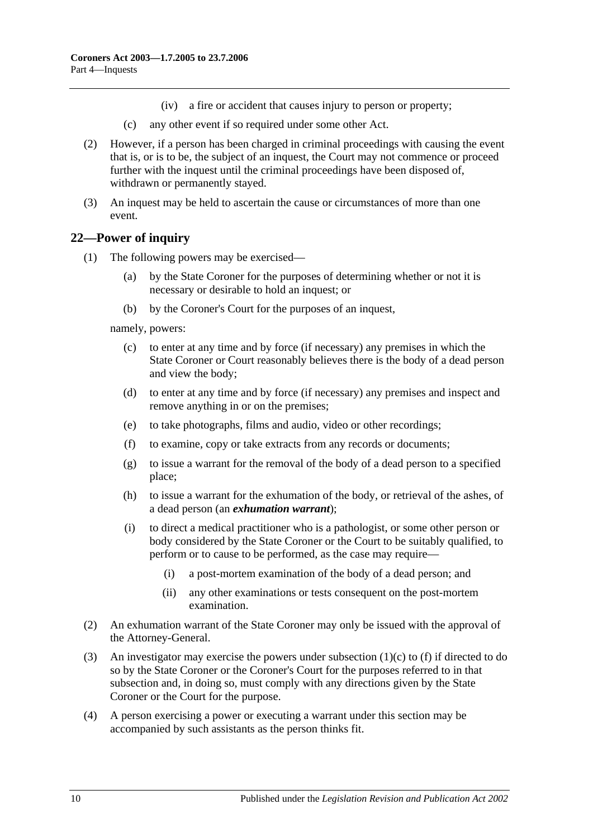- (iv) a fire or accident that causes injury to person or property;
- (c) any other event if so required under some other Act.
- (2) However, if a person has been charged in criminal proceedings with causing the event that is, or is to be, the subject of an inquest, the Court may not commence or proceed further with the inquest until the criminal proceedings have been disposed of, withdrawn or permanently stayed.
- (3) An inquest may be held to ascertain the cause or circumstances of more than one event.

## <span id="page-9-0"></span>**22—Power of inquiry**

- (1) The following powers may be exercised—
	- (a) by the State Coroner for the purposes of determining whether or not it is necessary or desirable to hold an inquest; or
	- (b) by the Coroner's Court for the purposes of an inquest,

<span id="page-9-1"></span>namely, powers:

- (c) to enter at any time and by force (if necessary) any premises in which the State Coroner or Court reasonably believes there is the body of a dead person and view the body;
- (d) to enter at any time and by force (if necessary) any premises and inspect and remove anything in or on the premises;
- <span id="page-9-2"></span>(e) to take photographs, films and audio, video or other recordings;
- (f) to examine, copy or take extracts from any records or documents;
- (g) to issue a warrant for the removal of the body of a dead person to a specified place;
- (h) to issue a warrant for the exhumation of the body, or retrieval of the ashes, of a dead person (an *exhumation warrant*);
- (i) to direct a medical practitioner who is a pathologist, or some other person or body considered by the State Coroner or the Court to be suitably qualified, to perform or to cause to be performed, as the case may require—
	- (i) a post-mortem examination of the body of a dead person; and
	- (ii) any other examinations or tests consequent on the post-mortem examination.
- (2) An exhumation warrant of the State Coroner may only be issued with the approval of the Attorney-General.
- (3) An investigator may exercise the powers under [subsection](#page-9-1) (1)(c) to [\(f\)](#page-9-2) if directed to do so by the State Coroner or the Coroner's Court for the purposes referred to in that subsection and, in doing so, must comply with any directions given by the State Coroner or the Court for the purpose.
- (4) A person exercising a power or executing a warrant under this section may be accompanied by such assistants as the person thinks fit.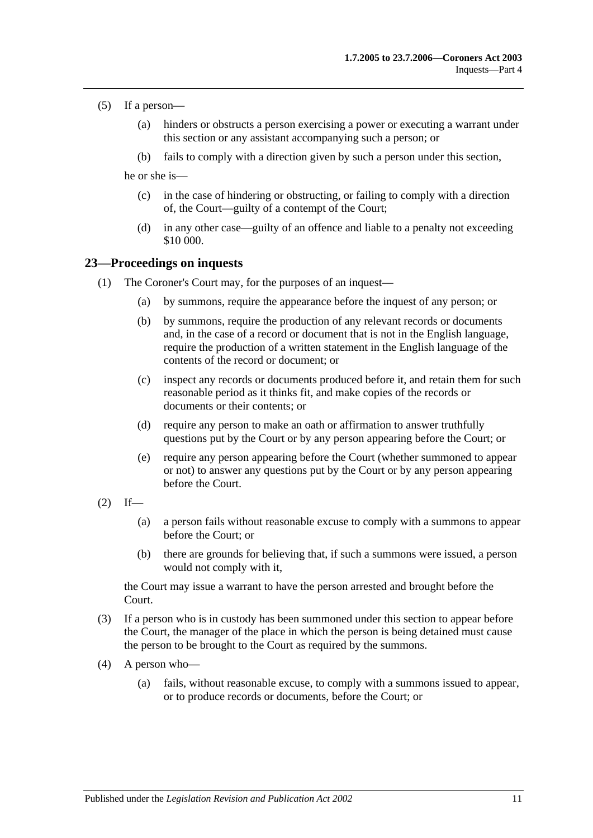- (5) If a person—
	- (a) hinders or obstructs a person exercising a power or executing a warrant under this section or any assistant accompanying such a person; or
	- (b) fails to comply with a direction given by such a person under this section,

he or she is—

- (c) in the case of hindering or obstructing, or failing to comply with a direction of, the Court—guilty of a contempt of the Court;
- (d) in any other case—guilty of an offence and liable to a penalty not exceeding \$10 000.

#### <span id="page-10-0"></span>**23—Proceedings on inquests**

- (1) The Coroner's Court may, for the purposes of an inquest—
	- (a) by summons, require the appearance before the inquest of any person; or
	- (b) by summons, require the production of any relevant records or documents and, in the case of a record or document that is not in the English language, require the production of a written statement in the English language of the contents of the record or document; or
	- (c) inspect any records or documents produced before it, and retain them for such reasonable period as it thinks fit, and make copies of the records or documents or their contents; or
	- (d) require any person to make an oath or affirmation to answer truthfully questions put by the Court or by any person appearing before the Court; or
	- (e) require any person appearing before the Court (whether summoned to appear or not) to answer any questions put by the Court or by any person appearing before the Court.
- $(2)$  If—
	- (a) a person fails without reasonable excuse to comply with a summons to appear before the Court; or
	- (b) there are grounds for believing that, if such a summons were issued, a person would not comply with it,

the Court may issue a warrant to have the person arrested and brought before the Court.

- (3) If a person who is in custody has been summoned under this section to appear before the Court, the manager of the place in which the person is being detained must cause the person to be brought to the Court as required by the summons.
- (4) A person who—
	- (a) fails, without reasonable excuse, to comply with a summons issued to appear, or to produce records or documents, before the Court; or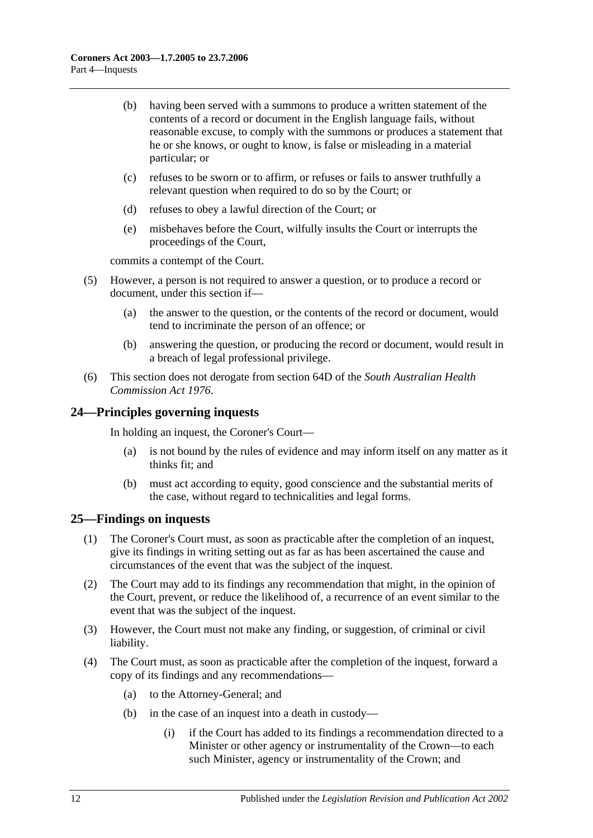- (b) having been served with a summons to produce a written statement of the contents of a record or document in the English language fails, without reasonable excuse, to comply with the summons or produces a statement that he or she knows, or ought to know, is false or misleading in a material particular; or
- (c) refuses to be sworn or to affirm, or refuses or fails to answer truthfully a relevant question when required to do so by the Court; or
- (d) refuses to obey a lawful direction of the Court; or
- (e) misbehaves before the Court, wilfully insults the Court or interrupts the proceedings of the Court,

commits a contempt of the Court.

- (5) However, a person is not required to answer a question, or to produce a record or document, under this section if—
	- (a) the answer to the question, or the contents of the record or document, would tend to incriminate the person of an offence; or
	- (b) answering the question, or producing the record or document, would result in a breach of legal professional privilege.
- (6) This section does not derogate from section 64D of the *[South Australian Health](http://www.legislation.sa.gov.au/index.aspx?action=legref&type=act&legtitle=South%20Australian%20Health%20Commission%20Act%201976)  [Commission Act](http://www.legislation.sa.gov.au/index.aspx?action=legref&type=act&legtitle=South%20Australian%20Health%20Commission%20Act%201976) 1976*.

## <span id="page-11-0"></span>**24—Principles governing inquests**

In holding an inquest, the Coroner's Court—

- (a) is not bound by the rules of evidence and may inform itself on any matter as it thinks fit; and
- (b) must act according to equity, good conscience and the substantial merits of the case, without regard to technicalities and legal forms.

#### <span id="page-11-1"></span>**25—Findings on inquests**

- (1) The Coroner's Court must, as soon as practicable after the completion of an inquest, give its findings in writing setting out as far as has been ascertained the cause and circumstances of the event that was the subject of the inquest.
- (2) The Court may add to its findings any recommendation that might, in the opinion of the Court, prevent, or reduce the likelihood of, a recurrence of an event similar to the event that was the subject of the inquest.
- (3) However, the Court must not make any finding, or suggestion, of criminal or civil liability.
- <span id="page-11-2"></span>(4) The Court must, as soon as practicable after the completion of the inquest, forward a copy of its findings and any recommendations—
	- (a) to the Attorney-General; and
	- (b) in the case of an inquest into a death in custody—
		- (i) if the Court has added to its findings a recommendation directed to a Minister or other agency or instrumentality of the Crown—to each such Minister, agency or instrumentality of the Crown; and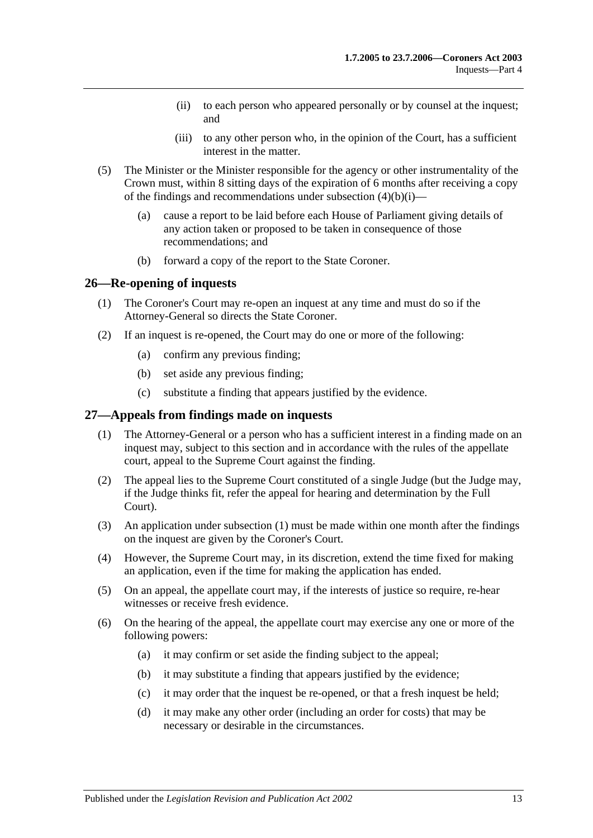- (ii) to each person who appeared personally or by counsel at the inquest; and
- (iii) to any other person who, in the opinion of the Court, has a sufficient interest in the matter.
- (5) The Minister or the Minister responsible for the agency or other instrumentality of the Crown must, within 8 sitting days of the expiration of 6 months after receiving a copy of the findings and recommendations under [subsection](#page-11-2)  $(4)(b)(i)$ —
	- (a) cause a report to be laid before each House of Parliament giving details of any action taken or proposed to be taken in consequence of those recommendations; and
	- (b) forward a copy of the report to the State Coroner.

#### <span id="page-12-0"></span>**26—Re-opening of inquests**

- (1) The Coroner's Court may re-open an inquest at any time and must do so if the Attorney-General so directs the State Coroner.
- (2) If an inquest is re-opened, the Court may do one or more of the following:
	- (a) confirm any previous finding;
	- (b) set aside any previous finding;
	- (c) substitute a finding that appears justified by the evidence.

#### <span id="page-12-2"></span><span id="page-12-1"></span>**27—Appeals from findings made on inquests**

- (1) The Attorney-General or a person who has a sufficient interest in a finding made on an inquest may, subject to this section and in accordance with the rules of the appellate court, appeal to the Supreme Court against the finding.
- (2) The appeal lies to the Supreme Court constituted of a single Judge (but the Judge may, if the Judge thinks fit, refer the appeal for hearing and determination by the Full Court).
- (3) An application under [subsection](#page-12-2) (1) must be made within one month after the findings on the inquest are given by the Coroner's Court.
- (4) However, the Supreme Court may, in its discretion, extend the time fixed for making an application, even if the time for making the application has ended.
- (5) On an appeal, the appellate court may, if the interests of justice so require, re-hear witnesses or receive fresh evidence.
- (6) On the hearing of the appeal, the appellate court may exercise any one or more of the following powers:
	- (a) it may confirm or set aside the finding subject to the appeal;
	- (b) it may substitute a finding that appears justified by the evidence;
	- (c) it may order that the inquest be re-opened, or that a fresh inquest be held;
	- (d) it may make any other order (including an order for costs) that may be necessary or desirable in the circumstances.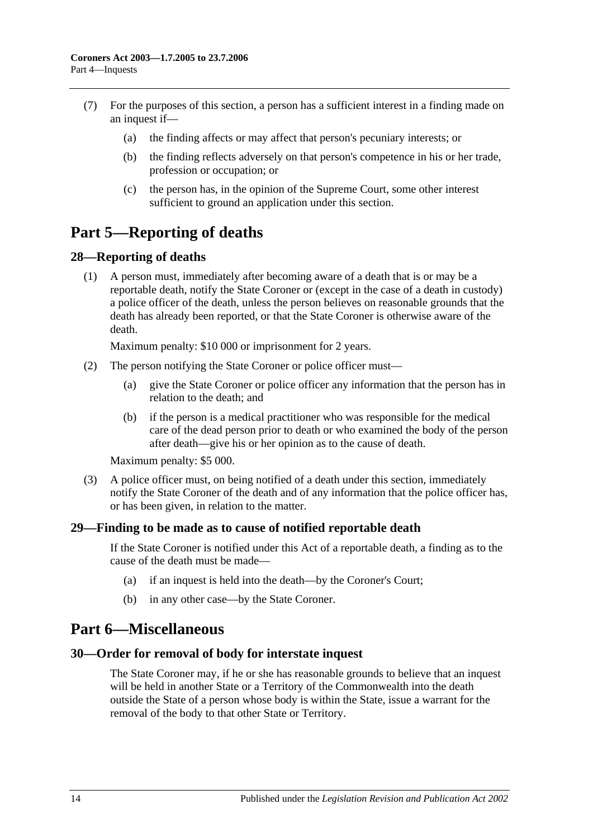- (7) For the purposes of this section, a person has a sufficient interest in a finding made on an inquest if—
	- (a) the finding affects or may affect that person's pecuniary interests; or
	- (b) the finding reflects adversely on that person's competence in his or her trade, profession or occupation; or
	- (c) the person has, in the opinion of the Supreme Court, some other interest sufficient to ground an application under this section.

## <span id="page-13-0"></span>**Part 5—Reporting of deaths**

#### <span id="page-13-1"></span>**28—Reporting of deaths**

(1) A person must, immediately after becoming aware of a death that is or may be a reportable death, notify the State Coroner or (except in the case of a death in custody) a police officer of the death, unless the person believes on reasonable grounds that the death has already been reported, or that the State Coroner is otherwise aware of the death.

Maximum penalty: \$10 000 or imprisonment for 2 years.

- (2) The person notifying the State Coroner or police officer must—
	- (a) give the State Coroner or police officer any information that the person has in relation to the death; and
	- (b) if the person is a medical practitioner who was responsible for the medical care of the dead person prior to death or who examined the body of the person after death—give his or her opinion as to the cause of death.

Maximum penalty: \$5 000.

(3) A police officer must, on being notified of a death under this section, immediately notify the State Coroner of the death and of any information that the police officer has, or has been given, in relation to the matter.

## <span id="page-13-2"></span>**29—Finding to be made as to cause of notified reportable death**

If the State Coroner is notified under this Act of a reportable death, a finding as to the cause of the death must be made—

- (a) if an inquest is held into the death—by the Coroner's Court;
- (b) in any other case—by the State Coroner.

## <span id="page-13-3"></span>**Part 6—Miscellaneous**

#### <span id="page-13-4"></span>**30—Order for removal of body for interstate inquest**

The State Coroner may, if he or she has reasonable grounds to believe that an inquest will be held in another State or a Territory of the Commonwealth into the death outside the State of a person whose body is within the State, issue a warrant for the removal of the body to that other State or Territory.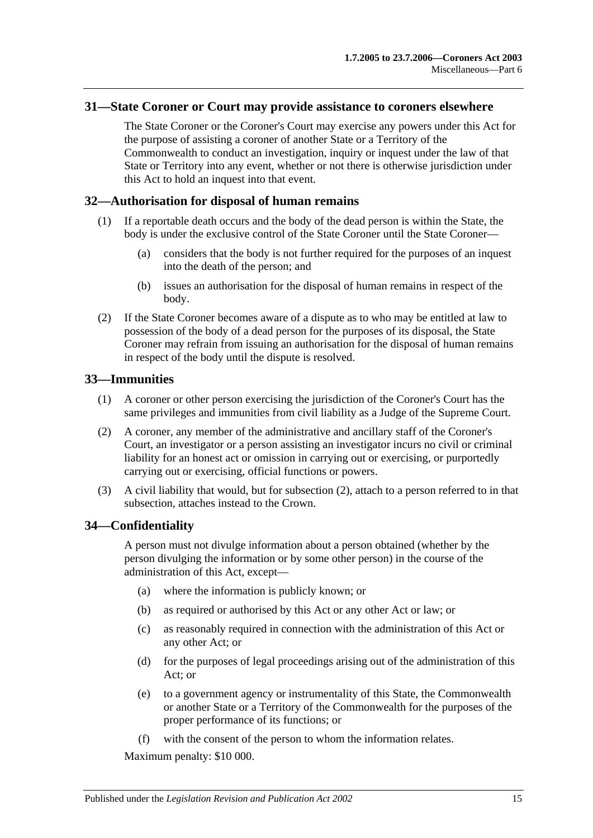#### <span id="page-14-0"></span>**31—State Coroner or Court may provide assistance to coroners elsewhere**

The State Coroner or the Coroner's Court may exercise any powers under this Act for the purpose of assisting a coroner of another State or a Territory of the Commonwealth to conduct an investigation, inquiry or inquest under the law of that State or Territory into any event, whether or not there is otherwise jurisdiction under this Act to hold an inquest into that event.

#### <span id="page-14-1"></span>**32—Authorisation for disposal of human remains**

- (1) If a reportable death occurs and the body of the dead person is within the State, the body is under the exclusive control of the State Coroner until the State Coroner-
	- (a) considers that the body is not further required for the purposes of an inquest into the death of the person; and
	- (b) issues an authorisation for the disposal of human remains in respect of the body.
- (2) If the State Coroner becomes aware of a dispute as to who may be entitled at law to possession of the body of a dead person for the purposes of its disposal, the State Coroner may refrain from issuing an authorisation for the disposal of human remains in respect of the body until the dispute is resolved.

#### <span id="page-14-2"></span>**33—Immunities**

- (1) A coroner or other person exercising the jurisdiction of the Coroner's Court has the same privileges and immunities from civil liability as a Judge of the Supreme Court.
- <span id="page-14-4"></span>(2) A coroner, any member of the administrative and ancillary staff of the Coroner's Court, an investigator or a person assisting an investigator incurs no civil or criminal liability for an honest act or omission in carrying out or exercising, or purportedly carrying out or exercising, official functions or powers.
- (3) A civil liability that would, but for [subsection](#page-14-4) (2), attach to a person referred to in that subsection, attaches instead to the Crown.

## <span id="page-14-3"></span>**34—Confidentiality**

A person must not divulge information about a person obtained (whether by the person divulging the information or by some other person) in the course of the administration of this Act, except—

- (a) where the information is publicly known; or
- (b) as required or authorised by this Act or any other Act or law; or
- (c) as reasonably required in connection with the administration of this Act or any other Act; or
- (d) for the purposes of legal proceedings arising out of the administration of this Act; or
- (e) to a government agency or instrumentality of this State, the Commonwealth or another State or a Territory of the Commonwealth for the purposes of the proper performance of its functions; or
- (f) with the consent of the person to whom the information relates.

Maximum penalty: \$10 000.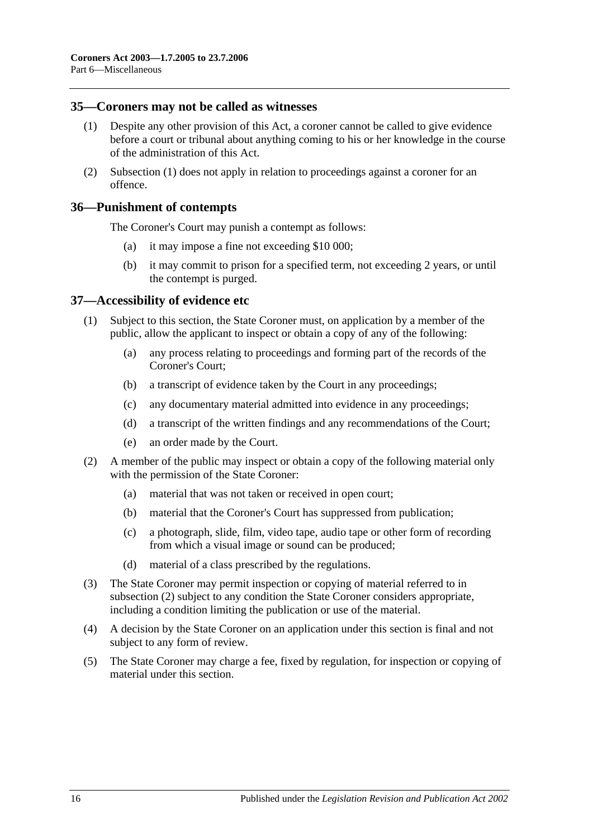#### <span id="page-15-3"></span><span id="page-15-0"></span>**35—Coroners may not be called as witnesses**

- (1) Despite any other provision of this Act, a coroner cannot be called to give evidence before a court or tribunal about anything coming to his or her knowledge in the course of the administration of this Act.
- (2) [Subsection](#page-15-3) (1) does not apply in relation to proceedings against a coroner for an offence.

#### <span id="page-15-1"></span>**36—Punishment of contempts**

The Coroner's Court may punish a contempt as follows:

- (a) it may impose a fine not exceeding \$10 000;
- (b) it may commit to prison for a specified term, not exceeding 2 years, or until the contempt is purged.

#### <span id="page-15-2"></span>**37—Accessibility of evidence etc**

- (1) Subject to this section, the State Coroner must, on application by a member of the public, allow the applicant to inspect or obtain a copy of any of the following:
	- (a) any process relating to proceedings and forming part of the records of the Coroner's Court;
	- (b) a transcript of evidence taken by the Court in any proceedings;
	- (c) any documentary material admitted into evidence in any proceedings;
	- (d) a transcript of the written findings and any recommendations of the Court;
	- (e) an order made by the Court.
- <span id="page-15-4"></span>(2) A member of the public may inspect or obtain a copy of the following material only with the permission of the State Coroner:
	- (a) material that was not taken or received in open court;
	- (b) material that the Coroner's Court has suppressed from publication;
	- (c) a photograph, slide, film, video tape, audio tape or other form of recording from which a visual image or sound can be produced;
	- (d) material of a class prescribed by the regulations.
- (3) The State Coroner may permit inspection or copying of material referred to in [subsection](#page-15-4) (2) subject to any condition the State Coroner considers appropriate, including a condition limiting the publication or use of the material.
- (4) A decision by the State Coroner on an application under this section is final and not subject to any form of review.
- (5) The State Coroner may charge a fee, fixed by regulation, for inspection or copying of material under this section.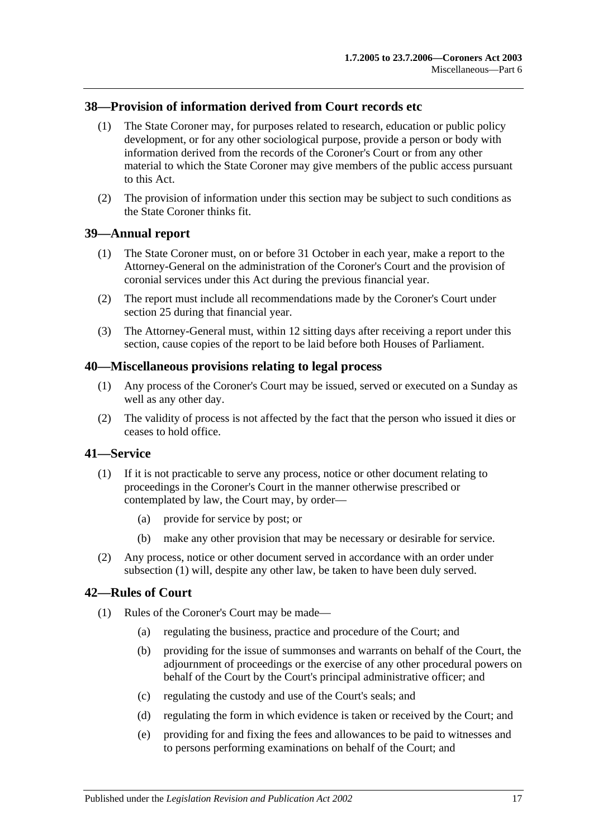## <span id="page-16-0"></span>**38—Provision of information derived from Court records etc**

- (1) The State Coroner may, for purposes related to research, education or public policy development, or for any other sociological purpose, provide a person or body with information derived from the records of the Coroner's Court or from any other material to which the State Coroner may give members of the public access pursuant to this Act.
- (2) The provision of information under this section may be subject to such conditions as the State Coroner thinks fit.

#### <span id="page-16-1"></span>**39—Annual report**

- (1) The State Coroner must, on or before 31 October in each year, make a report to the Attorney-General on the administration of the Coroner's Court and the provision of coronial services under this Act during the previous financial year.
- (2) The report must include all recommendations made by the Coroner's Court under [section](#page-11-1) 25 during that financial year.
- (3) The Attorney-General must, within 12 sitting days after receiving a report under this section, cause copies of the report to be laid before both Houses of Parliament.

#### <span id="page-16-2"></span>**40—Miscellaneous provisions relating to legal process**

- (1) Any process of the Coroner's Court may be issued, served or executed on a Sunday as well as any other day.
- (2) The validity of process is not affected by the fact that the person who issued it dies or ceases to hold office.

## <span id="page-16-5"></span><span id="page-16-3"></span>**41—Service**

- (1) If it is not practicable to serve any process, notice or other document relating to proceedings in the Coroner's Court in the manner otherwise prescribed or contemplated by law, the Court may, by order—
	- (a) provide for service by post; or
	- (b) make any other provision that may be necessary or desirable for service.
- (2) Any process, notice or other document served in accordance with an order under [subsection](#page-16-5) (1) will, despite any other law, be taken to have been duly served.

## <span id="page-16-4"></span>**42—Rules of Court**

- (1) Rules of the Coroner's Court may be made—
	- (a) regulating the business, practice and procedure of the Court; and
	- (b) providing for the issue of summonses and warrants on behalf of the Court, the adjournment of proceedings or the exercise of any other procedural powers on behalf of the Court by the Court's principal administrative officer; and
	- (c) regulating the custody and use of the Court's seals; and
	- (d) regulating the form in which evidence is taken or received by the Court; and
	- (e) providing for and fixing the fees and allowances to be paid to witnesses and to persons performing examinations on behalf of the Court; and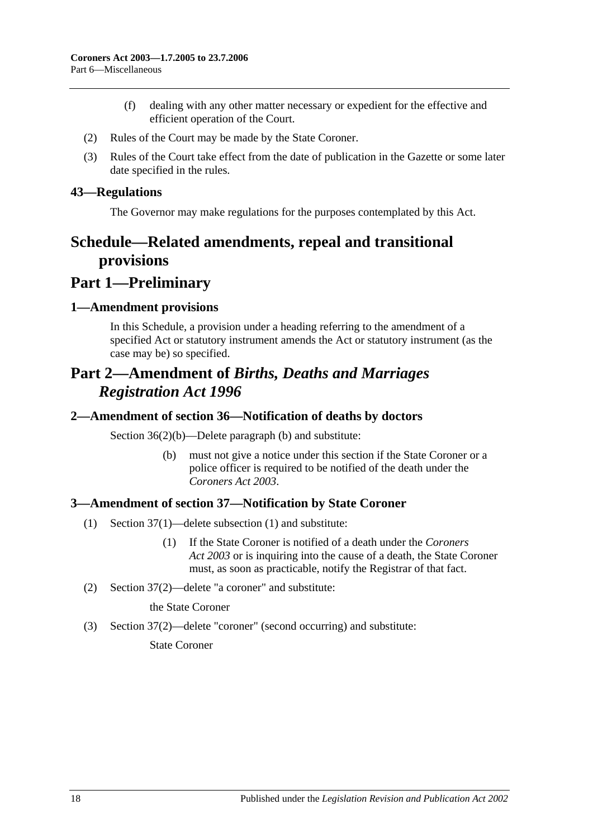- (f) dealing with any other matter necessary or expedient for the effective and efficient operation of the Court.
- (2) Rules of the Court may be made by the State Coroner.
- (3) Rules of the Court take effect from the date of publication in the Gazette or some later date specified in the rules.

#### <span id="page-17-0"></span>**43—Regulations**

The Governor may make regulations for the purposes contemplated by this Act.

## <span id="page-17-1"></span>**Schedule—Related amendments, repeal and transitional provisions**

## **Part 1—Preliminary**

#### <span id="page-17-2"></span>**1—Amendment provisions**

In this Schedule, a provision under a heading referring to the amendment of a specified Act or statutory instrument amends the Act or statutory instrument (as the case may be) so specified.

## **Part 2—Amendment of** *Births, Deaths and Marriages Registration Act 1996*

#### <span id="page-17-3"></span>**2—Amendment of section 36—Notification of deaths by doctors**

Section 36(2)(b)—Delete paragraph (b) and substitute:

(b) must not give a notice under this section if the State Coroner or a police officer is required to be notified of the death under the *[Coroners Act](http://www.legislation.sa.gov.au/index.aspx?action=legref&type=act&legtitle=Coroners%20Act%202003) 2003*.

## <span id="page-17-4"></span>**3—Amendment of section 37—Notification by State Coroner**

- (1) Section 37(1)—delete subsection (1) and substitute:
	- (1) If the State Coroner is notified of a death under the *[Coroners](http://www.legislation.sa.gov.au/index.aspx?action=legref&type=act&legtitle=Coroners%20Act%202003)  Act [2003](http://www.legislation.sa.gov.au/index.aspx?action=legref&type=act&legtitle=Coroners%20Act%202003)* or is inquiring into the cause of a death, the State Coroner must, as soon as practicable, notify the Registrar of that fact.
- (2) Section 37(2)—delete "a coroner" and substitute:

the State Coroner

(3) Section 37(2)—delete "coroner" (second occurring) and substitute:

State Coroner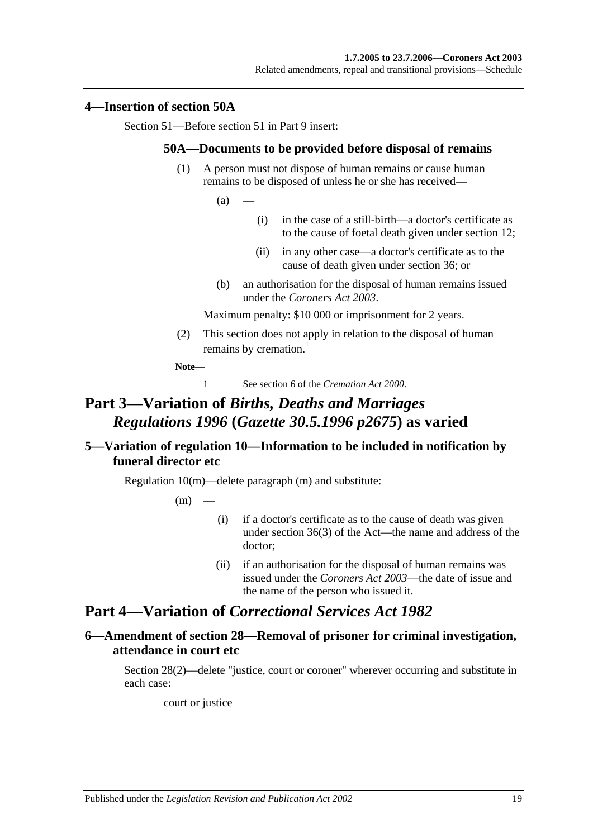#### <span id="page-18-0"></span>**4—Insertion of section 50A**

Section 51—Before section 51 in Part 9 insert:

#### **50A—Documents to be provided before disposal of remains**

(1) A person must not dispose of human remains or cause human remains to be disposed of unless he or she has received—

 $(a)$ 

- (i) in the case of a still-birth—a doctor's certificate as to the cause of foetal death given under section 12;
- (ii) in any other case—a doctor's certificate as to the cause of death given under section 36; or
- (b) an authorisation for the disposal of human remains issued under the *[Coroners Act](http://www.legislation.sa.gov.au/index.aspx?action=legref&type=act&legtitle=Coroners%20Act%202003) 2003*.

Maximum penalty: \$10 000 or imprisonment for 2 years.

(2) This section does not apply in relation to the disposal of human remains by cremation.<sup>1</sup>

**Note—**

1 See section 6 of the *[Cremation Act](http://www.legislation.sa.gov.au/index.aspx?action=legref&type=act&legtitle=Cremation%20Act%202000) 2000*.

## **Part 3—Variation of** *Births, Deaths and Marriages Regulations 1996* **(***Gazette 30.5.1996 p2675***) as varied**

## <span id="page-18-1"></span>**5—Variation of regulation 10—Information to be included in notification by funeral director etc**

Regulation 10(m)—delete paragraph (m) and substitute:

 $(m)$ 

- (i) if a doctor's certificate as to the cause of death was given under section 36(3) of the Act—the name and address of the doctor;
- (ii) if an authorisation for the disposal of human remains was issued under the *[Coroners Act](http://www.legislation.sa.gov.au/index.aspx?action=legref&type=act&legtitle=Coroners%20Act%202003) 2003*—the date of issue and the name of the person who issued it.

## **Part 4—Variation of** *Correctional Services Act 1982*

## <span id="page-18-2"></span>**6—Amendment of section 28—Removal of prisoner for criminal investigation, attendance in court etc**

Section 28(2)—delete "justice, court or coroner" wherever occurring and substitute in each case:

court or justice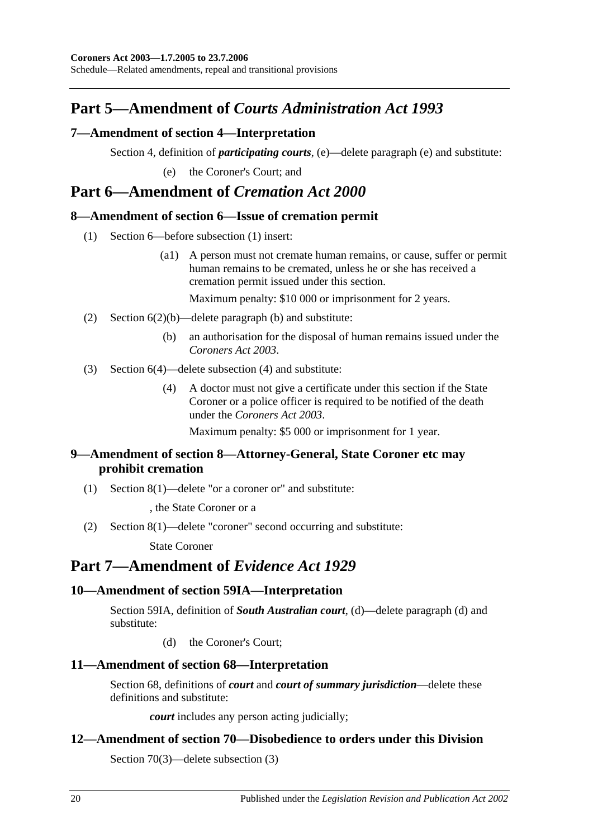## **Part 5—Amendment of** *Courts Administration Act 1993*

## <span id="page-19-0"></span>**7—Amendment of section 4—Interpretation**

Section 4, definition of *participating courts*, (e)—delete paragraph (e) and substitute:

(e) the Coroner's Court; and

## **Part 6—Amendment of** *Cremation Act 2000*

## <span id="page-19-1"></span>**8—Amendment of section 6—Issue of cremation permit**

- (1) Section 6—before subsection (1) insert:
	- (a1) A person must not cremate human remains, or cause, suffer or permit human remains to be cremated, unless he or she has received a cremation permit issued under this section.

Maximum penalty: \$10 000 or imprisonment for 2 years.

- (2) Section 6(2)(b)—delete paragraph (b) and substitute:
	- (b) an authorisation for the disposal of human remains issued under the *[Coroners](http://www.legislation.sa.gov.au/index.aspx?action=legref&type=act&legtitle=Coroners%20Act%202003) Act 2003*.
- (3) Section 6(4)—delete subsection (4) and substitute:
	- (4) A doctor must not give a certificate under this section if the State Coroner or a police officer is required to be notified of the death under the *[Coroners Act](http://www.legislation.sa.gov.au/index.aspx?action=legref&type=act&legtitle=Coroners%20Act%202003) 2003*.

Maximum penalty: \$5 000 or imprisonment for 1 year.

## <span id="page-19-2"></span>**9—Amendment of section 8—Attorney-General, State Coroner etc may prohibit cremation**

(1) Section 8(1)—delete "or a coroner or" and substitute:

, the State Coroner or a

(2) Section 8(1)—delete "coroner" second occurring and substitute:

State Coroner

## **Part 7—Amendment of** *Evidence Act 1929*

## <span id="page-19-3"></span>**10—Amendment of section 59IA—Interpretation**

Section 59IA, definition of *South Australian court*, (d)—delete paragraph (d) and substitute:

(d) the Coroner's Court;

## <span id="page-19-4"></span>**11—Amendment of section 68—Interpretation**

Section 68, definitions of *court* and *court of summary jurisdiction*—delete these definitions and substitute:

*court* includes any person acting judicially;

## <span id="page-19-5"></span>**12—Amendment of section 70—Disobedience to orders under this Division**

Section 70(3)—delete subsection (3)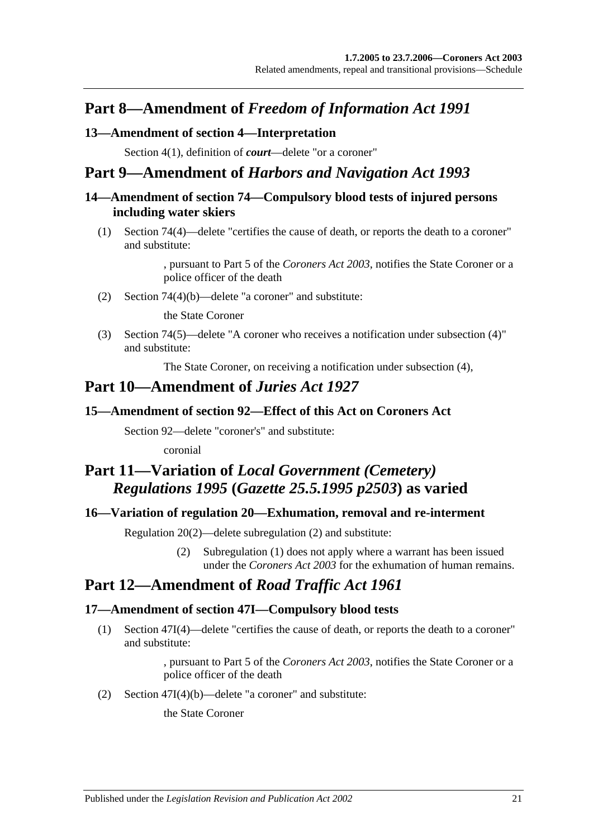## **Part 8—Amendment of** *Freedom of Information Act 1991*

## <span id="page-20-0"></span>**13—Amendment of section 4—Interpretation**

Section 4(1), definition of *court*—delete "or a coroner"

## **Part 9—Amendment of** *Harbors and Navigation Act 1993*

## <span id="page-20-1"></span>**14—Amendment of section 74—Compulsory blood tests of injured persons including water skiers**

(1) Section 74(4)—delete "certifies the cause of death, or reports the death to a coroner" and substitute:

> , pursuant to Part 5 of the *[Coroners Act](http://www.legislation.sa.gov.au/index.aspx?action=legref&type=act&legtitle=Coroners%20Act%202003) 2003*, notifies the State Coroner or a police officer of the death

(2) Section 74(4)(b)—delete "a coroner" and substitute:

the State Coroner

(3) Section 74(5)—delete "A coroner who receives a notification under subsection (4)" and substitute:

The State Coroner, on receiving a notification under subsection (4),

## **Part 10—Amendment of** *Juries Act 1927*

## <span id="page-20-2"></span>**15—Amendment of section 92—Effect of this Act on Coroners Act**

Section 92—delete "coroner's" and substitute:

coronial

## **Part 11—Variation of** *Local Government (Cemetery) Regulations 1995* **(***Gazette 25.5.1995 p2503***) as varied**

## <span id="page-20-3"></span>**16—Variation of regulation 20—Exhumation, removal and re-interment**

Regulation 20(2)—delete subregulation (2) and substitute:

(2) Subregulation (1) does not apply where a warrant has been issued under the *[Coroners Act](http://www.legislation.sa.gov.au/index.aspx?action=legref&type=act&legtitle=Coroners%20Act%202003) 2003* for the exhumation of human remains.

## **Part 12—Amendment of** *Road Traffic Act 1961*

## <span id="page-20-4"></span>**17—Amendment of section 47I—Compulsory blood tests**

(1) Section 47I(4)—delete "certifies the cause of death, or reports the death to a coroner" and substitute:

> , pursuant to Part 5 of the *[Coroners Act](http://www.legislation.sa.gov.au/index.aspx?action=legref&type=act&legtitle=Coroners%20Act%202003) 2003*, notifies the State Coroner or a police officer of the death

(2) Section 47I(4)(b)—delete "a coroner" and substitute:

the State Coroner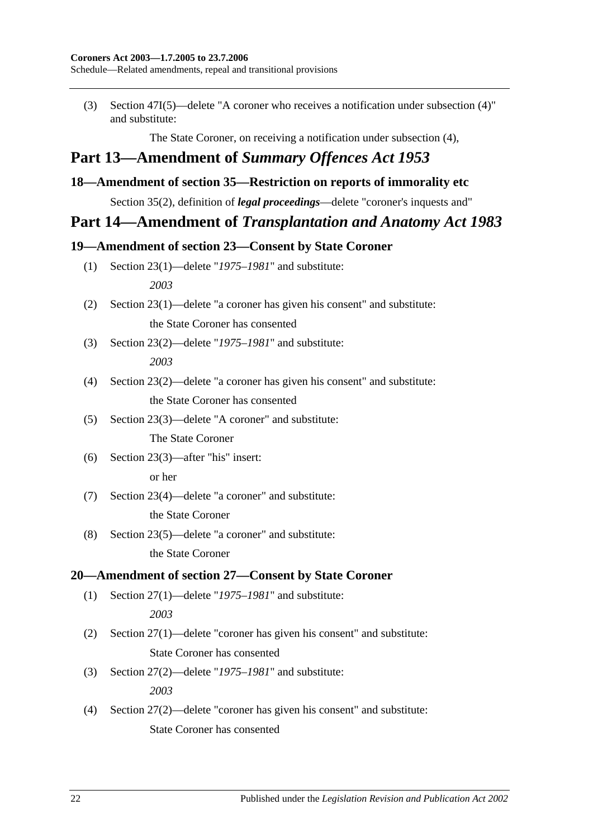Schedule—Related amendments, repeal and transitional provisions

(3) Section 47I(5)—delete "A coroner who receives a notification under subsection (4)" and substitute:

The State Coroner, on receiving a notification under subsection (4),

## **Part 13—Amendment of** *Summary Offences Act 1953*

## <span id="page-21-0"></span>**18—Amendment of section 35—Restriction on reports of immorality etc**

Section 35(2), definition of *legal proceedings*—delete "coroner's inquests and"

## **Part 14—Amendment of** *Transplantation and Anatomy Act 1983*

## <span id="page-21-1"></span>**19—Amendment of section 23—Consent by State Coroner**

- (1) Section 23(1)—delete "*1975–1981*" and substitute: *2003*
- (2) Section 23(1)—delete "a coroner has given his consent" and substitute: the State Coroner has consented
- (3) Section 23(2)—delete "*1975–1981*" and substitute: *2003*
- (4) Section 23(2)—delete "a coroner has given his consent" and substitute: the State Coroner has consented
- (5) Section 23(3)—delete "A coroner" and substitute:

The State Coroner

(6) Section 23(3)—after "his" insert:

or her

- (7) Section 23(4)—delete "a coroner" and substitute: the State Coroner
- (8) Section 23(5)—delete "a coroner" and substitute:

the State Coroner

## <span id="page-21-2"></span>**20—Amendment of section 27—Consent by State Coroner**

(1) Section 27(1)—delete "*1975–1981*" and substitute:

*2003*

- (2) Section 27(1)—delete "coroner has given his consent" and substitute: State Coroner has consented
- (3) Section 27(2)—delete "*1975–1981*" and substitute: *2003*
- (4) Section 27(2)—delete "coroner has given his consent" and substitute: State Coroner has consented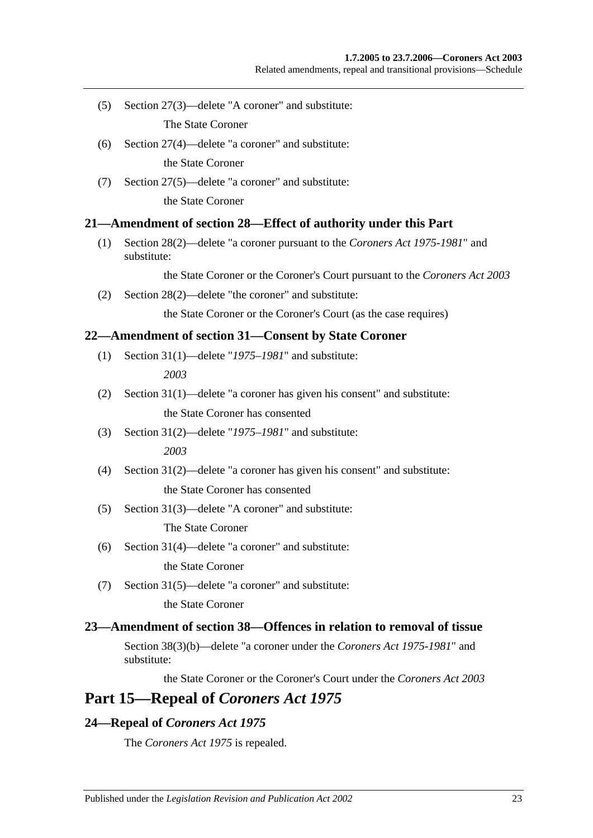(5) Section 27(3)—delete "A coroner" and substitute:

The State Coroner

- (6) Section 27(4)—delete "a coroner" and substitute: the State Coroner
- (7) Section 27(5)—delete "a coroner" and substitute:

the State Coroner

## <span id="page-22-0"></span>**21—Amendment of section 28—Effect of authority under this Part**

(1) Section 28(2)—delete "a coroner pursuant to the *[Coroners Act](http://www.legislation.sa.gov.au/index.aspx?action=legref&type=act&legtitle=Coroners%20Act%201975-1981) 1975-1981*" and substitute:

the State Coroner or the Coroner's Court pursuant to the *[Coroners Act](http://www.legislation.sa.gov.au/index.aspx?action=legref&type=act&legtitle=Coroners%20Act%202003) 2003*

(2) Section 28(2)—delete "the coroner" and substitute:

the State Coroner or the Coroner's Court (as the case requires)

## <span id="page-22-1"></span>**22—Amendment of section 31—Consent by State Coroner**

- (1) Section 31(1)—delete "*1975–1981*" and substitute: *2003*
- (2) Section 31(1)—delete "a coroner has given his consent" and substitute: the State Coroner has consented
- (3) Section 31(2)—delete "*1975–1981*" and substitute: *2003*
- (4) Section 31(2)—delete "a coroner has given his consent" and substitute: the State Coroner has consented
- (5) Section 31(3)—delete "A coroner" and substitute:

The State Coroner

(6) Section 31(4)—delete "a coroner" and substitute:

the State Coroner

(7) Section 31(5)—delete "a coroner" and substitute: the State Coroner

## <span id="page-22-2"></span>**23—Amendment of section 38—Offences in relation to removal of tissue**

Section 38(3)(b)—delete "a coroner under the *[Coroners Act](http://www.legislation.sa.gov.au/index.aspx?action=legref&type=act&legtitle=Coroners%20Act%201975-1981) 1975-1981*" and substitute:

the State Coroner or the Coroner's Court under the *[Coroners Act](http://www.legislation.sa.gov.au/index.aspx?action=legref&type=act&legtitle=Coroners%20Act%202003) 2003*

## **Part 15—Repeal of** *Coroners Act 1975*

## <span id="page-22-3"></span>**24—Repeal of** *Coroners Act 1975*

The *[Coroners Act](http://www.legislation.sa.gov.au/index.aspx?action=legref&type=act&legtitle=Coroners%20Act%201975) 1975* is repealed.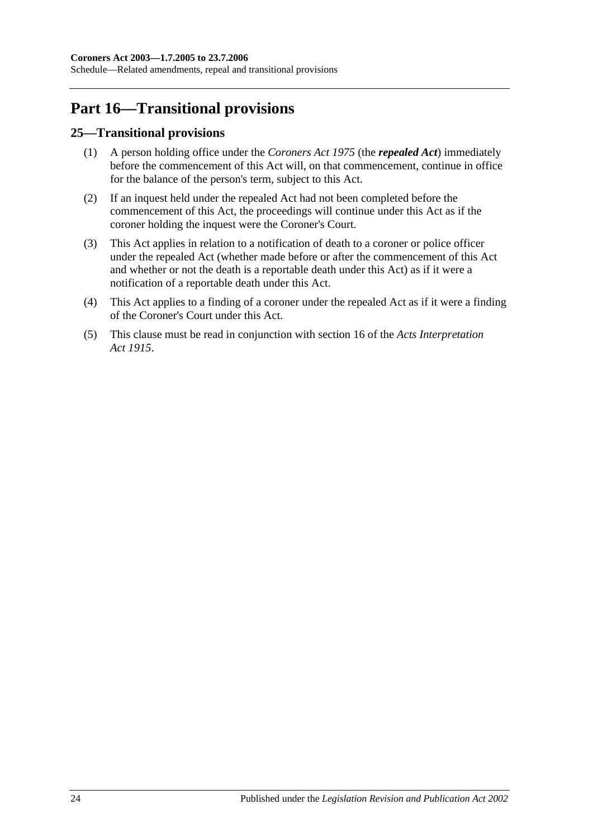## **Part 16—Transitional provisions**

## <span id="page-23-0"></span>**25—Transitional provisions**

- (1) A person holding office under the *[Coroners Act](http://www.legislation.sa.gov.au/index.aspx?action=legref&type=act&legtitle=Coroners%20Act%201975) 1975* (the *repealed Act*) immediately before the commencement of this Act will, on that commencement, continue in office for the balance of the person's term, subject to this Act.
- (2) If an inquest held under the repealed Act had not been completed before the commencement of this Act, the proceedings will continue under this Act as if the coroner holding the inquest were the Coroner's Court.
- (3) This Act applies in relation to a notification of death to a coroner or police officer under the repealed Act (whether made before or after the commencement of this Act and whether or not the death is a reportable death under this Act) as if it were a notification of a reportable death under this Act.
- (4) This Act applies to a finding of a coroner under the repealed Act as if it were a finding of the Coroner's Court under this Act.
- (5) This clause must be read in conjunction with section 16 of the *[Acts Interpretation](http://www.legislation.sa.gov.au/index.aspx?action=legref&type=act&legtitle=Acts%20Interpretation%20Act%201915)  Act [1915](http://www.legislation.sa.gov.au/index.aspx?action=legref&type=act&legtitle=Acts%20Interpretation%20Act%201915)*.